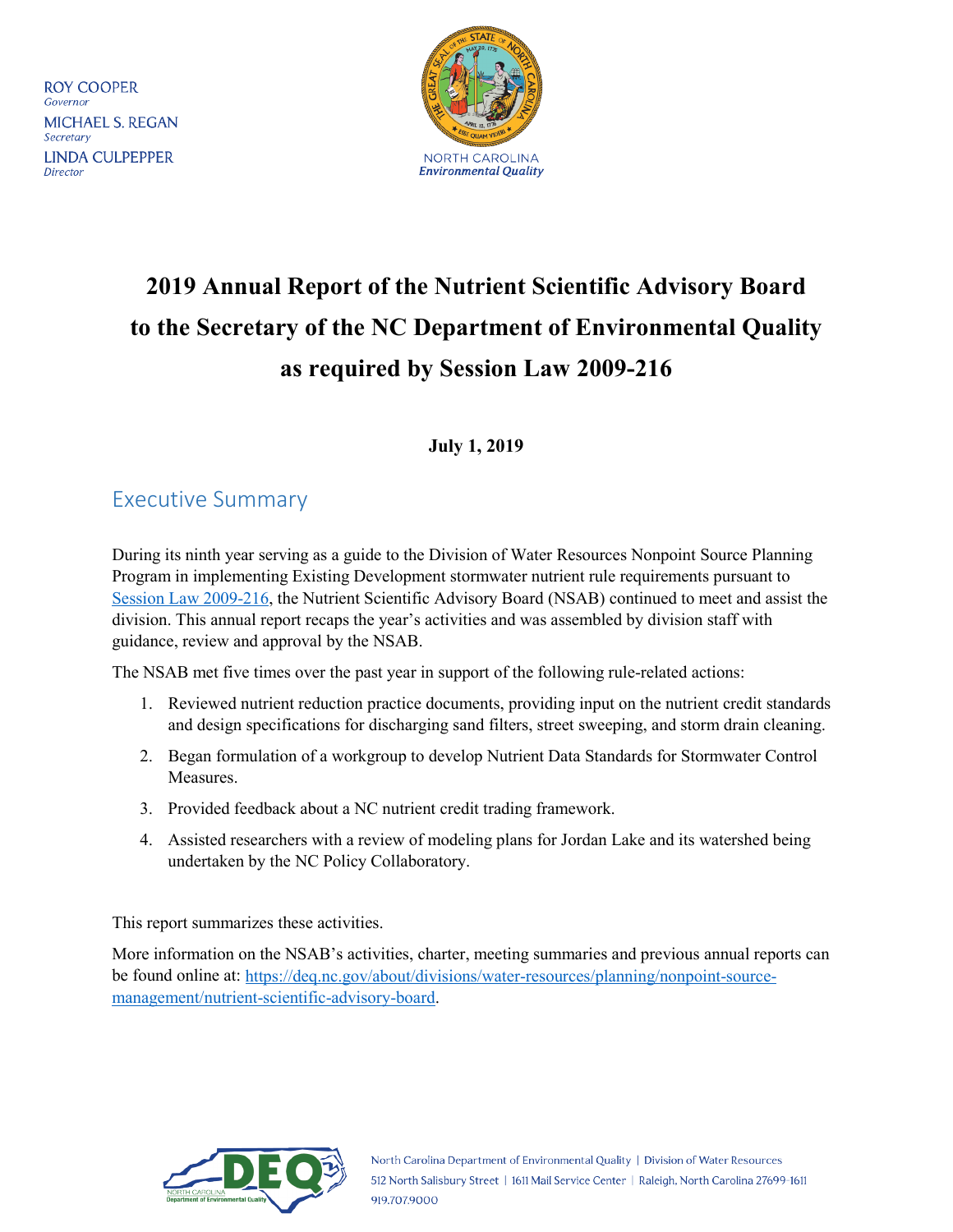**ROY COOPER** Governor **MICHAEL S. REGAN** Secretary **LINDA CULPEPPER** Director



# **2019 Annual Report of the Nutrient Scientific Advisory Board to the Secretary of the NC Department of Environmental Quality as required by Session Law 2009-216**

### **July 1, 2019**

## <span id="page-0-0"></span>Executive Summary

During its ninth year serving as a guide to the Division of Water Resources Nonpoint Source Planning Program in implementing Existing Development stormwater nutrient rule requirements pursuant to [Session Law 2009-216,](#page-5-0) the Nutrient Scientific Advisory Board (NSAB) continued to meet and assist the division. This annual report recaps the year's activities and was assembled by division staff with guidance, review and approval by the NSAB.

The NSAB met five times over the past year in support of the following rule-related actions:

- 1. Reviewed nutrient reduction practice documents, providing input on the nutrient credit standards and design specifications for discharging sand filters, street sweeping, and storm drain cleaning.
- 2. Began formulation of a workgroup to develop Nutrient Data Standards for Stormwater Control Measures.
- 3. Provided feedback about a NC nutrient credit trading framework.
- 4. Assisted researchers with a review of modeling plans for Jordan Lake and its watershed being undertaken by the NC Policy Collaboratory.

This report summarizes these activities.

More information on the NSAB's activities, charter, meeting summaries and previous annual reports can be found online at: [https://deq.nc.gov/about/divisions/water-resources/planning/nonpoint-source](https://deq.nc.gov/about/divisions/water-resources/planning/nonpoint-source-management/nutrient-scientific-advisory-board)[management/nutrient-scientific-advisory-board.](https://deq.nc.gov/about/divisions/water-resources/planning/nonpoint-source-management/nutrient-scientific-advisory-board)

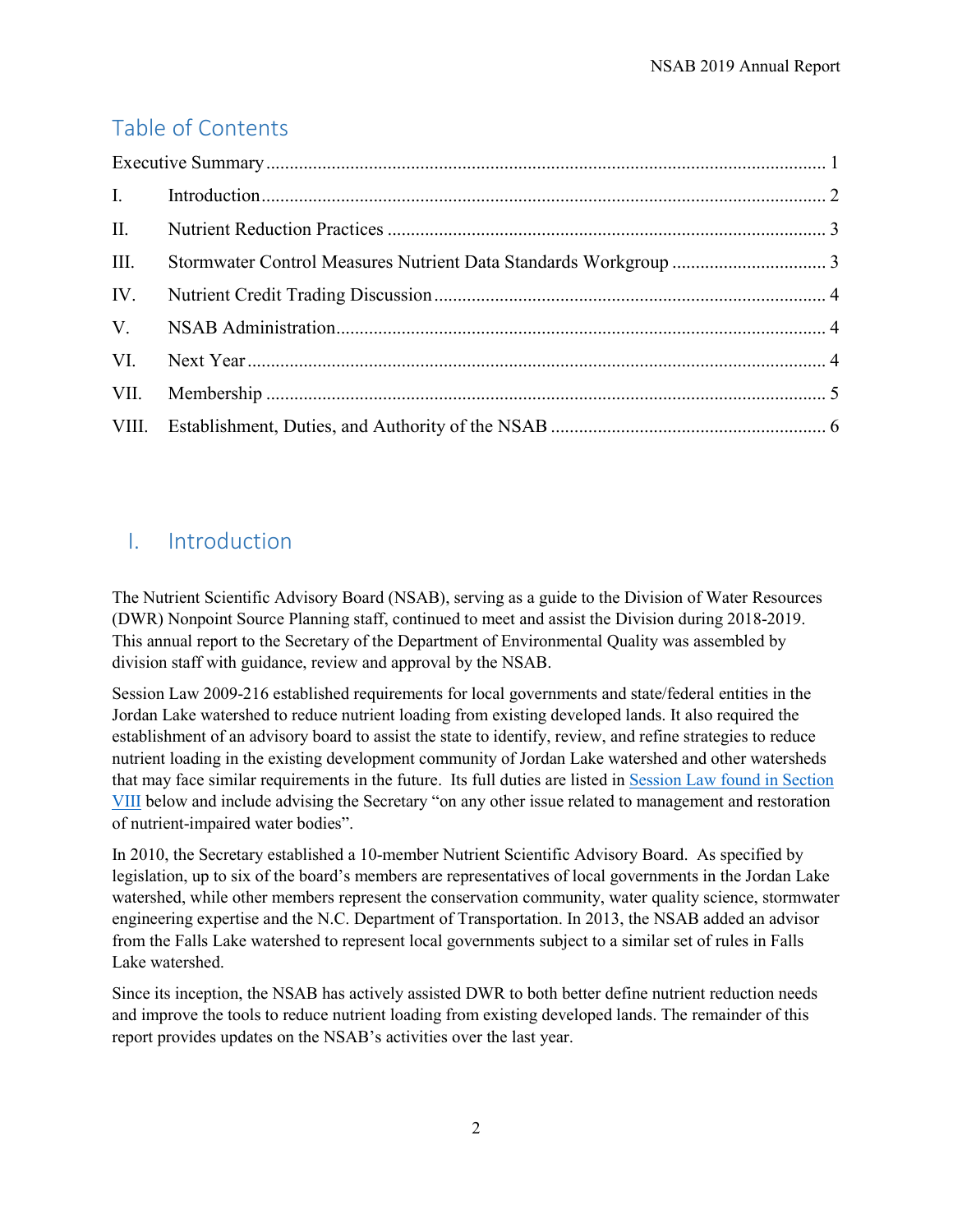# Table of Contents

| III. |  |  |  |  |
|------|--|--|--|--|
| IV.  |  |  |  |  |
|      |  |  |  |  |
|      |  |  |  |  |
| VII. |  |  |  |  |
|      |  |  |  |  |

## <span id="page-1-0"></span>I. Introduction

The Nutrient Scientific Advisory Board (NSAB), serving as a guide to the Division of Water Resources (DWR) Nonpoint Source Planning staff, continued to meet and assist the Division during 2018-2019. This annual report to the Secretary of the Department of Environmental Quality was assembled by division staff with guidance, review and approval by the NSAB.

[Session Law 2009-216](http://www.ncleg.net/sessions/2009/bills/house/pdf/h239v6.pdf) established requirements for local governments and state/federal entities in the Jordan Lake watershed to reduce nutrient loading from existing developed lands. It also required the establishment of an advisory board to assist the state to identify, review, and refine strategies to reduce nutrient loading in the existing development community of Jordan Lake watershed and other watersheds that may face similar requirements in the future. Its full duties are listed in [Session Law found in Section](#page-5-0)  [VIII](#page-5-0) below and include advising the Secretary "on any other issue related to management and restoration of nutrient-impaired water bodies".

In 2010, the Secretary established a 10-member Nutrient Scientific Advisory Board. As specified by legislation, up to six of the board's members are representatives of local governments in the Jordan Lake watershed, while other members represent the conservation community, water quality science, stormwater engineering expertise and the N.C. Department of Transportation. In 2013, the NSAB added an advisor from the Falls Lake watershed to represent local governments subject to a similar set of rules in Falls Lake watershed.

Since its inception, the NSAB has actively assisted DWR to both better define nutrient reduction needs and improve the tools to reduce nutrient loading from existing developed lands. The remainder of this report provides updates on the NSAB's activities over the last year.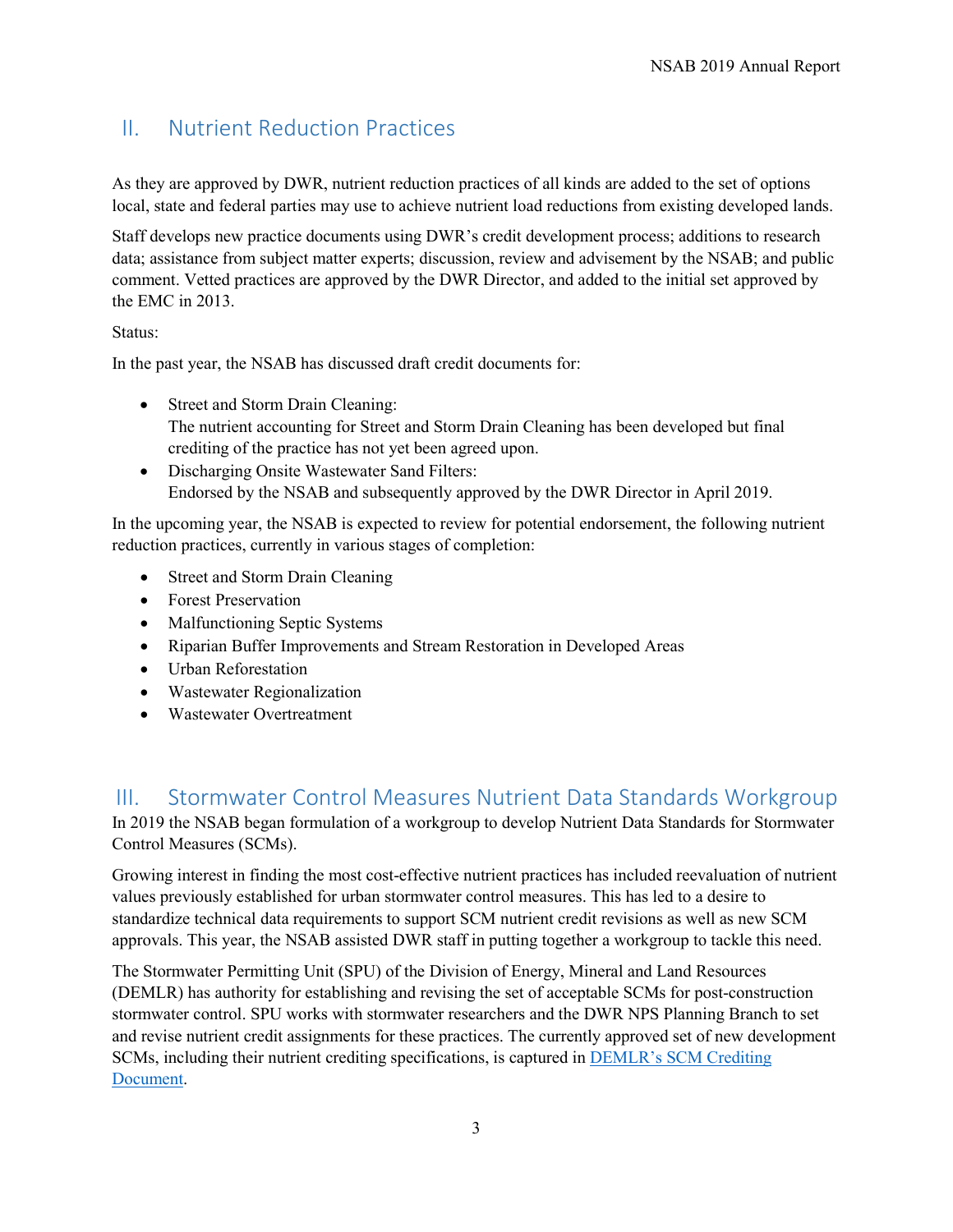## <span id="page-2-0"></span>II. Nutrient Reduction Practices

As they are approved by DWR, nutrient reduction practices of all kinds are added to the set of options local, state and federal parties may use to achieve nutrient load reductions from existing developed lands.

Staff develops new practice documents using DWR's credit development process; additions to research data; assistance from subject matter experts; discussion, review and advisement by the NSAB; and public comment. Vetted practices are approved by the DWR Director, and added to the initial set approved by the EMC in 2013.

Status:

In the past year, the NSAB has discussed draft credit documents for:

- Street and Storm Drain Cleaning: The nutrient accounting for Street and Storm Drain Cleaning has been developed but final crediting of the practice has not yet been agreed upon.
- Discharging Onsite Wastewater Sand Filters: Endorsed by the NSAB and subsequently approved by the DWR Director in April 2019.

In the upcoming year, the NSAB is expected to review for potential endorsement, the following nutrient reduction practices, currently in various stages of completion:

- Street and Storm Drain Cleaning
- Forest Preservation
- Malfunctioning Septic Systems
- Riparian Buffer Improvements and Stream Restoration in Developed Areas
- Urban Reforestation
- Wastewater Regionalization
- Wastewater Overtreatment

## <span id="page-2-1"></span>III. Stormwater Control Measures Nutrient Data Standards Workgroup

In 2019 the NSAB began formulation of a workgroup to develop Nutrient Data Standards for Stormwater Control Measures (SCMs).

Growing interest in finding the most cost-effective nutrient practices has included reevaluation of nutrient values previously established for urban stormwater control measures. This has led to a desire to standardize technical data requirements to support SCM nutrient credit revisions as well as new SCM approvals. This year, the NSAB assisted DWR staff in putting together a workgroup to tackle this need.

The Stormwater Permitting Unit (SPU) of the Division of Energy, Mineral and Land Resources (DEMLR) has authority for establishing and revising the set of acceptable SCMs for post-construction stormwater control. SPU works with stormwater researchers and the DWR NPS Planning Branch to set and revise nutrient credit assignments for these practices. The currently approved set of new development SCMs, including their nutrient crediting specifications, is captured in [DEMLR's SCM Crediting](https://deq.nc.gov/sw-bmp-manual)  [Document.](https://deq.nc.gov/sw-bmp-manual)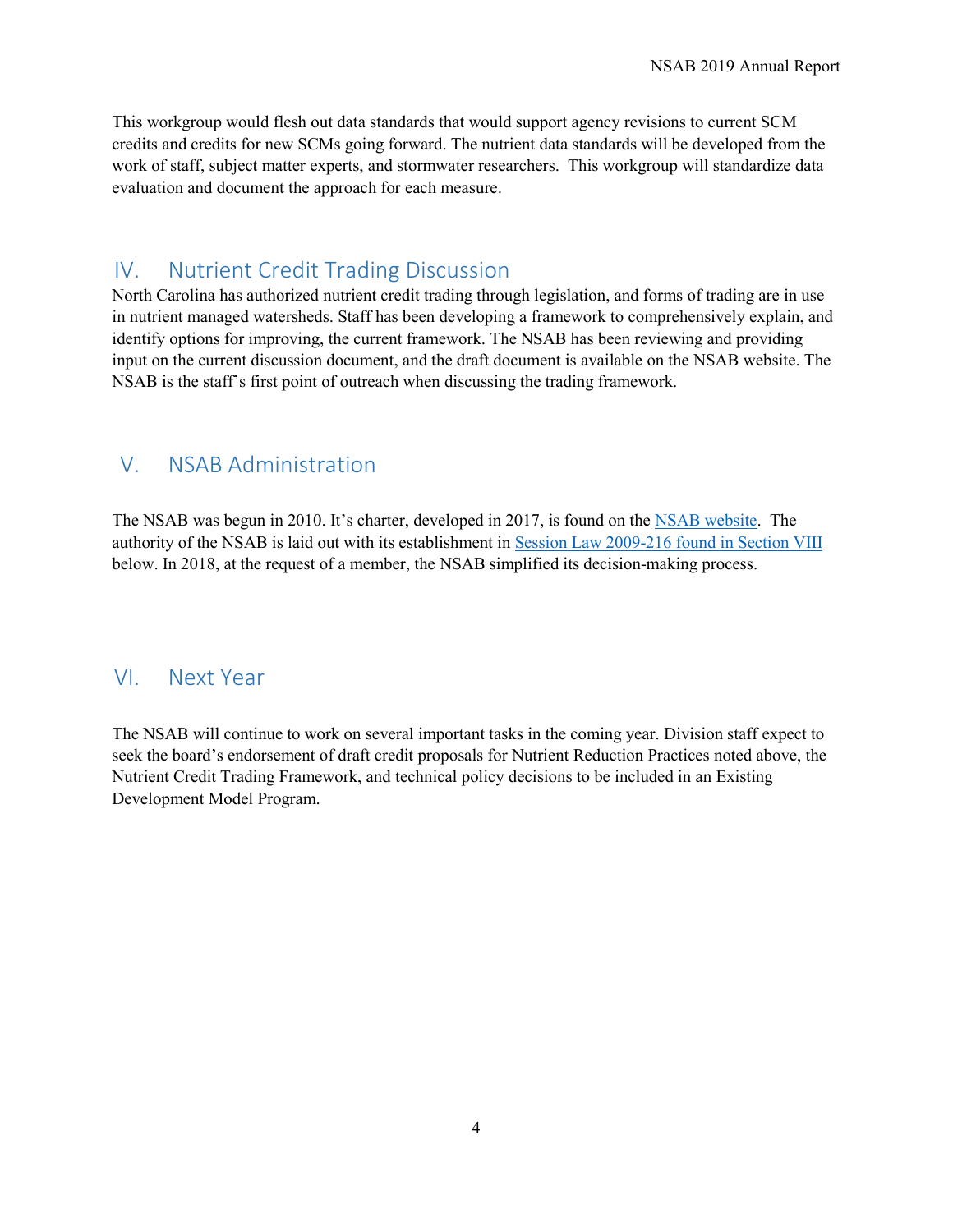This workgroup would flesh out data standards that would support agency revisions to current SCM credits and credits for new SCMs going forward. The nutrient data standards will be developed from the work of staff, subject matter experts, and stormwater researchers. This workgroup will standardize data evaluation and document the approach for each measure.

## <span id="page-3-0"></span>IV. Nutrient Credit Trading Discussion

North Carolina has authorized nutrient credit trading through legislation, and forms of trading are in use in nutrient managed watersheds. Staff has been developing a framework to comprehensively explain, and identify options for improving, the current framework. The NSAB has been reviewing and providing input on the current discussion document, and the draft document is available on the NSAB website. The NSAB is the staff's first point of outreach when discussing the trading framework.

## <span id="page-3-1"></span>V. NSAB Administration

The NSAB was begun in 2010. It's charter, developed in 2017, is found on the [NSAB website.](https://deq.nc.gov/about/divisions/water-resources/planning/nonpoint-source-management/nutrient-scientific-advisory-board) The authority of the NSAB is laid out with its establishment in [Session Law 2009-216 found in Section VIII](#page-5-0) below. In 2018, at the request of a member, the NSAB simplified its decision-making process.

#### <span id="page-3-2"></span>VI. Next Year

The NSAB will continue to work on several important tasks in the coming year. Division staff expect to seek the board's endorsement of draft credit proposals for Nutrient Reduction Practices noted above, the Nutrient Credit Trading Framework, and technical policy decisions to be included in an Existing Development Model Program.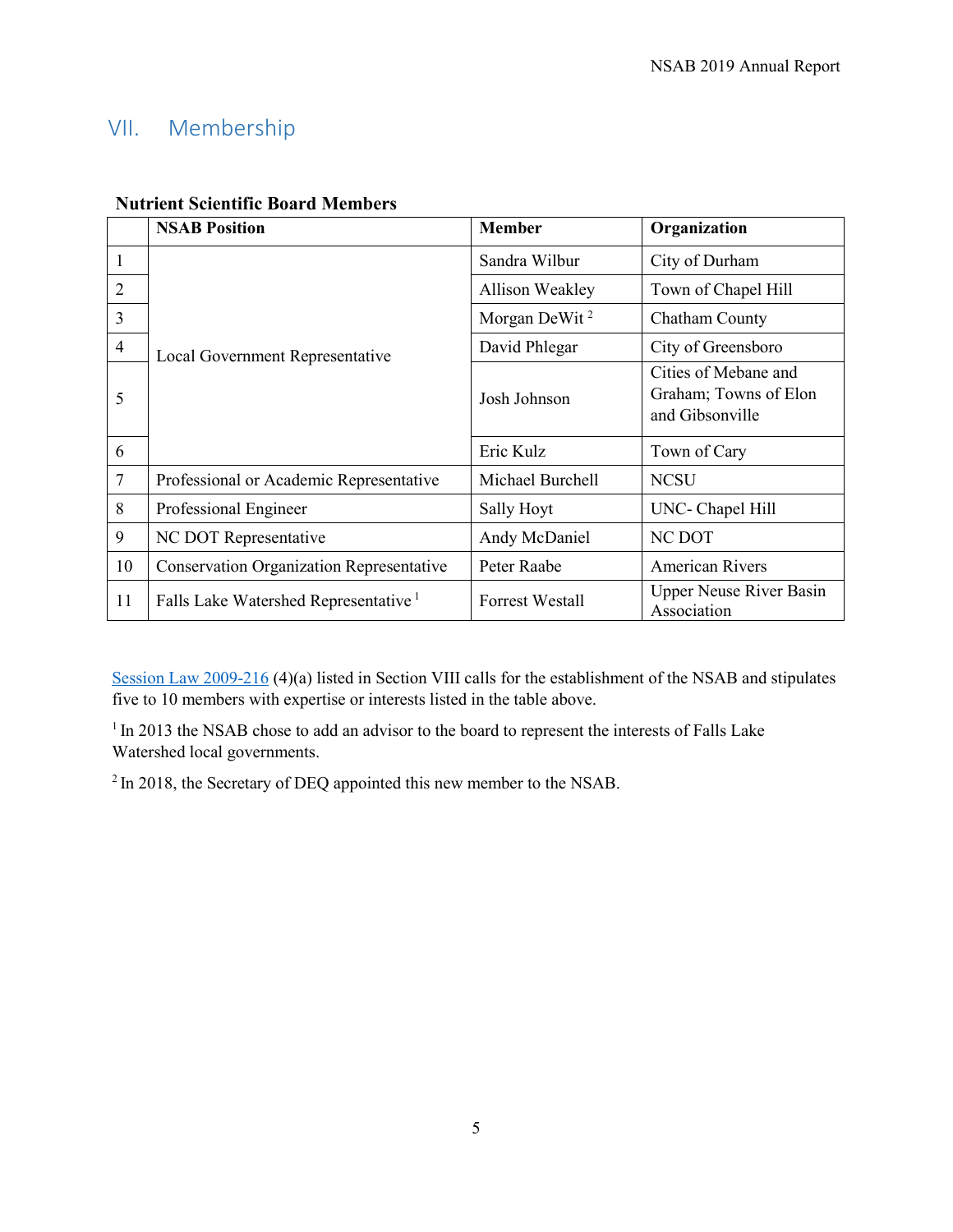# <span id="page-4-0"></span>VII. Membership

|                | <b>NSAB Position</b>                             | <b>Member</b>             | Organization                                                     |
|----------------|--------------------------------------------------|---------------------------|------------------------------------------------------------------|
| 1              | Local Government Representative                  | Sandra Wilbur             | City of Durham                                                   |
| 2              |                                                  | Allison Weakley           | Town of Chapel Hill                                              |
| 3              |                                                  | Morgan DeWit <sup>2</sup> | Chatham County                                                   |
| $\overline{4}$ |                                                  | David Phlegar             | City of Greensboro                                               |
| 5              |                                                  | Josh Johnson              | Cities of Mebane and<br>Graham; Towns of Elon<br>and Gibsonville |
| 6              |                                                  | Eric Kulz                 | Town of Cary                                                     |
| $\overline{7}$ | Professional or Academic Representative          | Michael Burchell          | <b>NCSU</b>                                                      |
| 8              | Professional Engineer                            | Sally Hoyt                | UNC- Chapel Hill                                                 |
| 9              | NC DOT Representative                            | Andy McDaniel             | <b>NC DOT</b>                                                    |
| 10             | <b>Conservation Organization Representative</b>  | Peter Raabe               | <b>American Rivers</b>                                           |
| 11             | Falls Lake Watershed Representative <sup>1</sup> | <b>Forrest Westall</b>    | <b>Upper Neuse River Basin</b><br>Association                    |

#### **Nutrient Scientific Board Members**

[Session Law 2009-216](#page-5-0) (4)(a) listed in Section VIII calls for the establishment of the NSAB and stipulates five to 10 members with expertise or interests listed in the table above.

<sup>1</sup> In 2013 the NSAB chose to add an advisor to the board to represent the interests of Falls Lake Watershed local governments.

<sup>2</sup> In 2018, the Secretary of DEQ appointed this new member to the NSAB.